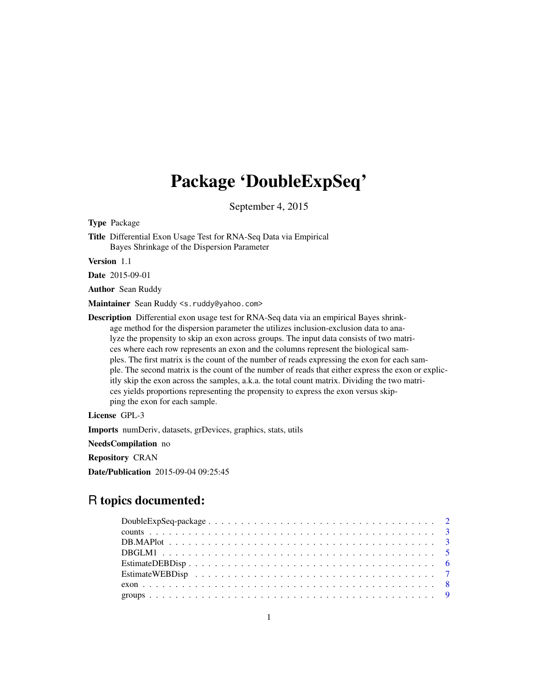## Package 'DoubleExpSeq'

September 4, 2015

Type Package

Title Differential Exon Usage Test for RNA-Seq Data via Empirical Bayes Shrinkage of the Dispersion Parameter

Version 1.1

Date 2015-09-01

Author Sean Ruddy

Maintainer Sean Ruddy <s.ruddy@yahoo.com>

Description Differential exon usage test for RNA-Seq data via an empirical Bayes shrinkage method for the dispersion parameter the utilizes inclusion-exclusion data to analyze the propensity to skip an exon across groups. The input data consists of two matrices where each row represents an exon and the columns represent the biological samples. The first matrix is the count of the number of reads expressing the exon for each sample. The second matrix is the count of the number of reads that either express the exon or explicitly skip the exon across the samples, a.k.a. the total count matrix. Dividing the two matrices yields proportions representing the propensity to express the exon versus skipping the exon for each sample.

License GPL-3

Imports numDeriv, datasets, grDevices, graphics, stats, utils

NeedsCompilation no

Repository CRAN

Date/Publication 2015-09-04 09:25:45

## R topics documented: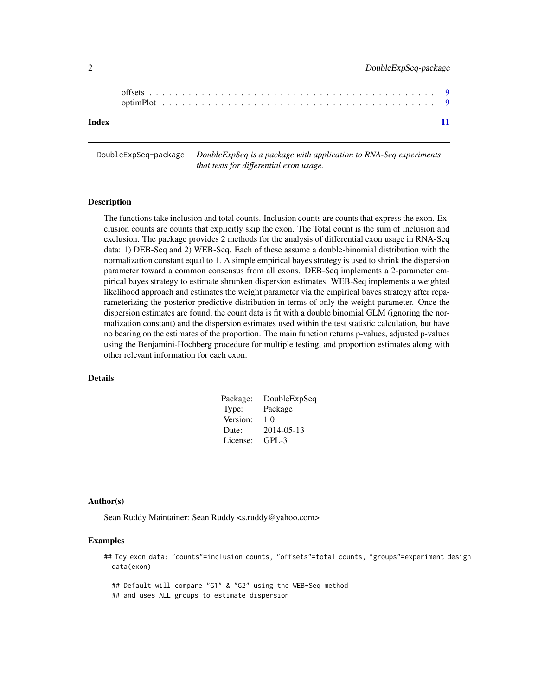<span id="page-1-0"></span>

| Index |  |  |  |  |  |  |  |  |  |  |  |  |  |  |  |  |  |  |  |  |
|-------|--|--|--|--|--|--|--|--|--|--|--|--|--|--|--|--|--|--|--|--|

DoubleExpSeq-package *DoubleExpSeq is a package with application to RNA-Seq experiments that tests for differential exon usage.*

## **Description**

The functions take inclusion and total counts. Inclusion counts are counts that express the exon. Exclusion counts are counts that explicitly skip the exon. The Total count is the sum of inclusion and exclusion. The package provides 2 methods for the analysis of differential exon usage in RNA-Seq data: 1) DEB-Seq and 2) WEB-Seq. Each of these assume a double-binomial distribution with the normalization constant equal to 1. A simple empirical bayes strategy is used to shrink the dispersion parameter toward a common consensus from all exons. DEB-Seq implements a 2-parameter empirical bayes strategy to estimate shrunken dispersion estimates. WEB-Seq implements a weighted likelihood approach and estimates the weight parameter via the empirical bayes strategy after reparameterizing the posterior predictive distribution in terms of only the weight parameter. Once the dispersion estimates are found, the count data is fit with a double binomial GLM (ignoring the normalization constant) and the dispersion estimates used within the test statistic calculation, but have no bearing on the estimates of the proportion. The main function returns p-values, adjusted p-values using the Benjamini-Hochberg procedure for multiple testing, and proportion estimates along with other relevant information for each exon.

#### Details

| Package: | DoubleExpSeq |
|----------|--------------|
| Type:    | Package      |
| Version: | 1.0          |
| Date:    | 2014-05-13   |
| License: | GPL-3        |

#### Author(s)

Sean Ruddy Maintainer: Sean Ruddy <s.ruddy@yahoo.com>

## Examples

## Toy exon data: "counts"=inclusion counts, "offsets"=total counts, "groups"=experiment design data(exon)

## Default will compare "G1" & "G2" using the WEB-Seq method ## and uses ALL groups to estimate dispersion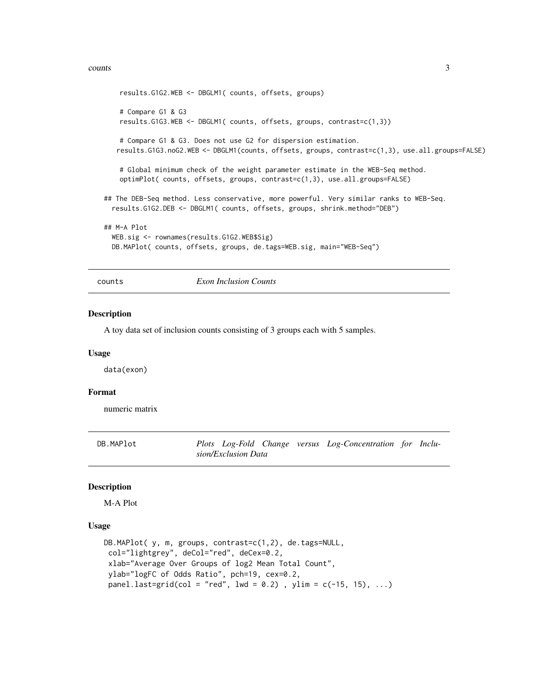#### <span id="page-2-0"></span>counts 3

```
results.G1G2.WEB <- DBGLM1( counts, offsets, groups)
    # Compare G1 & G3
    results.G1G3.WEB <- DBGLM1( counts, offsets, groups, contrast=c(1,3))
    # Compare G1 & G3. Does not use G2 for dispersion estimation.
   results.G1G3.noG2.WEB <- DBGLM1(counts, offsets, groups, contrast=c(1,3), use.all.groups=FALSE)
    # Global minimum check of the weight parameter estimate in the WEB-Seq method.
   optimPlot( counts, offsets, groups, contrast=c(1,3), use.all.groups=FALSE)
## The DEB-Seq method. Less conservative, more powerful. Very similar ranks to WEB-Seq.
 results.G1G2.DEB <- DBGLM1( counts, offsets, groups, shrink.method="DEB")
## M-A Plot
 WEB.sig <- rownames(results.G1G2.WEB$Sig)
 DB.MAPlot( counts, offsets, groups, de.tags=WEB.sig, main="WEB-Seq")
```
counts *Exon Inclusion Counts*

#### Description

A toy data set of inclusion counts consisting of 3 groups each with 5 samples.

#### Usage

data(exon)

#### Format

numeric matrix

DB.MAPlot *Plots Log-Fold Change versus Log-Concentration for Inclusion/Exclusion Data*

## **Description**

M-A Plot

#### Usage

```
DB.MAPlot( y, m, groups, contrast=c(1,2), de.tags=NULL,
col="lightgrey", deCol="red", deCex=0.2,
xlab="Average Over Groups of log2 Mean Total Count",
ylab="logFC of Odds Ratio", pch=19, cex=0.2,
panel. last=grid,col = "red", lwd = 0.2), ylim = c(-15, 15), ...
```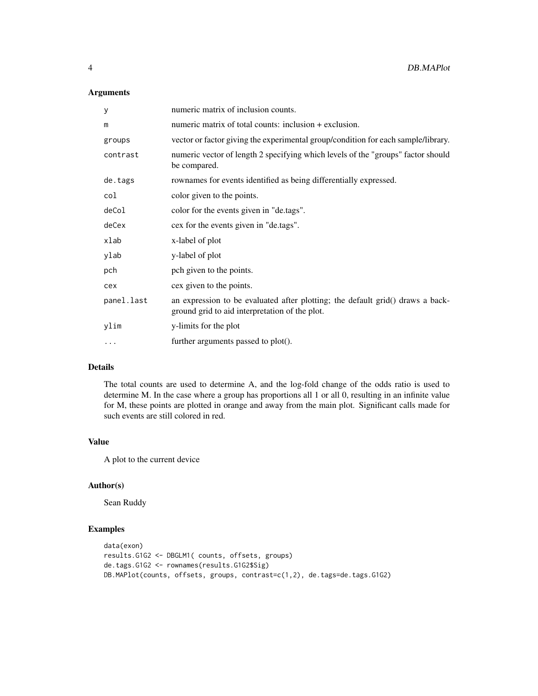## Arguments

| y          | numeric matrix of inclusion counts.                                                                                              |
|------------|----------------------------------------------------------------------------------------------------------------------------------|
| m          | numeric matrix of total counts: inclusion + exclusion.                                                                           |
| groups     | vector or factor giving the experimental group/condition for each sample/library.                                                |
| contrast   | numeric vector of length 2 specifying which levels of the "groups" factor should<br>be compared.                                 |
| de.tags    | rownames for events identified as being differentially expressed.                                                                |
| col        | color given to the points.                                                                                                       |
| deCol      | color for the events given in "de.tags".                                                                                         |
| deCex      | cex for the events given in "de.tags".                                                                                           |
| xlab       | x-label of plot                                                                                                                  |
| ylab       | y-label of plot                                                                                                                  |
| pch        | pch given to the points.                                                                                                         |
| cex        | cex given to the points.                                                                                                         |
| panel.last | an expression to be evaluated after plotting; the default grid() draws a back-<br>ground grid to aid interpretation of the plot. |
| ylim       | y-limits for the plot                                                                                                            |
| $\cdots$   | further arguments passed to plot().                                                                                              |

## Details

The total counts are used to determine A, and the log-fold change of the odds ratio is used to determine M. In the case where a group has proportions all 1 or all 0, resulting in an infinite value for M, these points are plotted in orange and away from the main plot. Significant calls made for such events are still colored in red.

## Value

A plot to the current device

## Author(s)

Sean Ruddy

## Examples

```
data(exon)
results.G1G2 <- DBGLM1( counts, offsets, groups)
de.tags.G1G2 <- rownames(results.G1G2$Sig)
DB.MAPlot(counts, offsets, groups, contrast=c(1,2), de.tags=de.tags.G1G2)
```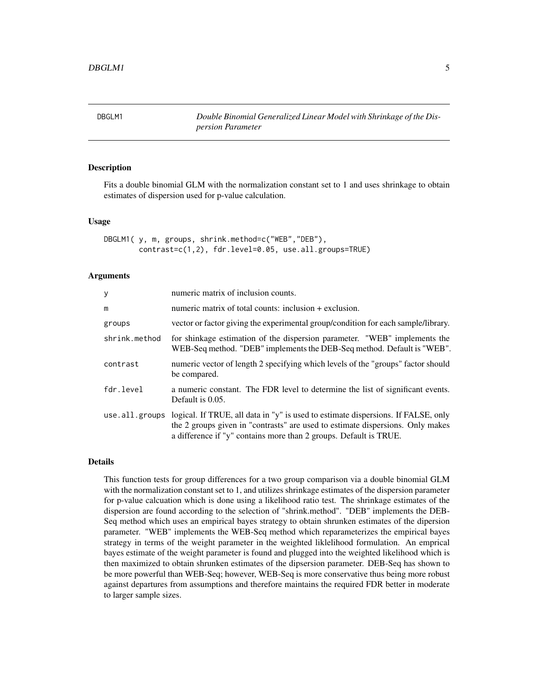<span id="page-4-0"></span>DBGLM1 *Double Binomial Generalized Linear Model with Shrinkage of the Dispersion Parameter*

## Description

Fits a double binomial GLM with the normalization constant set to 1 and uses shrinkage to obtain estimates of dispersion used for p-value calculation.

#### Usage

```
DBGLM1( y, m, groups, shrink.method=c("WEB","DEB"),
       contrast=c(1,2), fdr.level=0.05, use.all.groups=TRUE)
```
#### Arguments

| numeric matrix of inclusion counts.                                                                                                                                                                                                                         |
|-------------------------------------------------------------------------------------------------------------------------------------------------------------------------------------------------------------------------------------------------------------|
| numeric matrix of total counts: inclusion + exclusion.                                                                                                                                                                                                      |
| vector or factor giving the experimental group/condition for each sample/library.                                                                                                                                                                           |
| for shinkage estimation of the dispersion parameter. "WEB" implements the<br>WEB-Seq method. "DEB" implements the DEB-Seq method. Default is "WEB".                                                                                                         |
| numeric vector of length 2 specifying which levels of the "groups" factor should<br>be compared.                                                                                                                                                            |
| a numeric constant. The FDR level to determine the list of significant events.<br>Default is 0.05.                                                                                                                                                          |
| use . all . groups logical. If TRUE, all data in "y" is used to estimate dispersions. If FALSE, only<br>the 2 groups given in "contrasts" are used to estimate dispersions. Only makes<br>a difference if "y" contains more than 2 groups. Default is TRUE. |
|                                                                                                                                                                                                                                                             |

#### Details

This function tests for group differences for a two group comparison via a double binomial GLM with the normalization constant set to 1, and utilizes shrinkage estimates of the dispersion parameter for p-value calcuation which is done using a likelihood ratio test. The shrinkage estimates of the dispersion are found according to the selection of "shrink.method". "DEB" implements the DEB-Seq method which uses an empirical bayes strategy to obtain shrunken estimates of the dipersion parameter. "WEB" implements the WEB-Seq method which reparameterizes the empirical bayes strategy in terms of the weight parameter in the weighted liklelihood formulation. An emprical bayes estimate of the weight parameter is found and plugged into the weighted likelihood which is then maximized to obtain shrunken estimates of the dipsersion parameter. DEB-Seq has shown to be more powerful than WEB-Seq; however, WEB-Seq is more conservative thus being more robust against departures from assumptions and therefore maintains the required FDR better in moderate to larger sample sizes.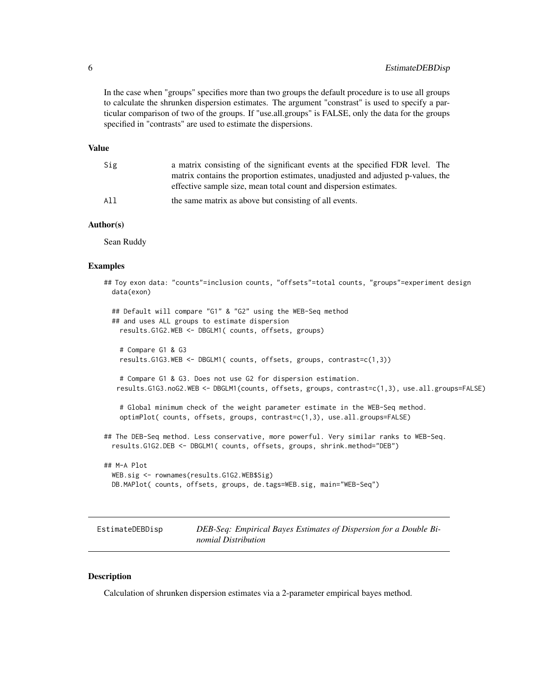<span id="page-5-0"></span>In the case when "groups" specifies more than two groups the default procedure is to use all groups to calculate the shrunken dispersion estimates. The argument "constrast" is used to specify a particular comparison of two of the groups. If "use.all.groups" is FALSE, only the data for the groups specified in "contrasts" are used to estimate the dispersions.

#### Value

| Sig | a matrix consisting of the significant events at the specified FDR level. The   |
|-----|---------------------------------------------------------------------------------|
|     | matrix contains the proportion estimates, unadjusted and adjusted p-values, the |
|     | effective sample size, mean total count and dispersion estimates.               |
| A11 | the same matrix as above but consisting of all events.                          |

#### Author(s)

Sean Ruddy

#### Examples

```
## Toy exon data: "counts"=inclusion counts, "offsets"=total counts, "groups"=experiment design
 data(exon)
 ## Default will compare "G1" & "G2" using the WEB-Seq method
 ## and uses ALL groups to estimate dispersion
   results.G1G2.WEB <- DBGLM1( counts, offsets, groups)
    # Compare G1 & G3
   results.G1G3.WEB <- DBGLM1( counts, offsets, groups, contrast=c(1,3))
   # Compare G1 & G3. Does not use G2 for dispersion estimation.
   results.G1G3.noG2.WEB <- DBGLM1(counts, offsets, groups, contrast=c(1,3), use.all.groups=FALSE)
    # Global minimum check of the weight parameter estimate in the WEB-Seq method.
    optimPlot( counts, offsets, groups, contrast=c(1,3), use.all.groups=FALSE)
## The DEB-Seq method. Less conservative, more powerful. Very similar ranks to WEB-Seq.
 results.G1G2.DEB <- DBGLM1( counts, offsets, groups, shrink.method="DEB")
## M-A Plot
 WEB.sig <- rownames(results.G1G2.WEB$Sig)
 DB.MAPlot( counts, offsets, groups, de.tags=WEB.sig, main="WEB-Seq")
```
EstimateDEBDisp *DEB-Seq: Empirical Bayes Estimates of Dispersion for a Double Binomial Distribution*

#### Description

Calculation of shrunken dispersion estimates via a 2-parameter empirical bayes method.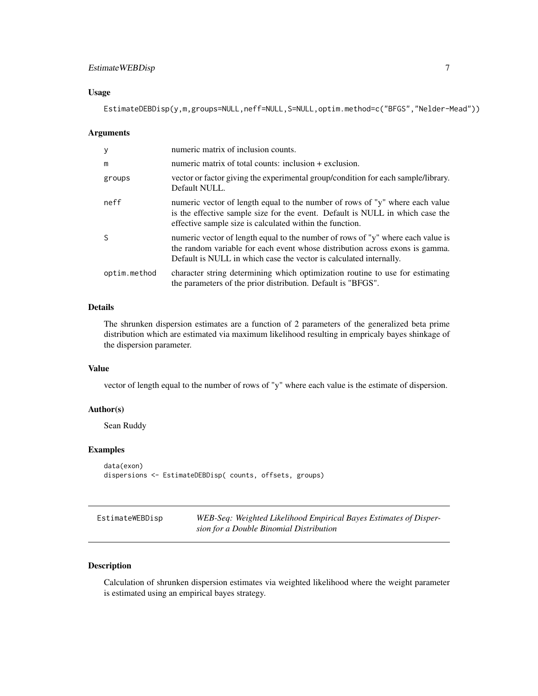## <span id="page-6-0"></span>EstimateWEBDisp 7

#### Usage

EstimateDEBDisp(y,m,groups=NULL,neff=NULL,S=NULL,optim.method=c("BFGS","Nelder-Mead"))

#### Arguments

| y            | numeric matrix of inclusion counts.                                                                                                                                                                                                   |
|--------------|---------------------------------------------------------------------------------------------------------------------------------------------------------------------------------------------------------------------------------------|
| m            | numeric matrix of total counts: inclusion + exclusion.                                                                                                                                                                                |
| groups       | vector or factor giving the experimental group/condition for each sample/library.<br>Default NULL.                                                                                                                                    |
| neff         | numeric vector of length equal to the number of rows of "y" where each value<br>is the effective sample size for the event. Default is NULL in which case the<br>effective sample size is calculated within the function.             |
| <sup>S</sup> | numeric vector of length equal to the number of rows of "y" where each value is<br>the random variable for each event whose distribution across exons is gamma.<br>Default is NULL in which case the vector is calculated internally. |
| optim.method | character string determining which optimization routine to use for estimating<br>the parameters of the prior distribution. Default is "BFGS".                                                                                         |

## Details

The shrunken dispersion estimates are a function of 2 parameters of the generalized beta prime distribution which are estimated via maximum likelihood resulting in empricaly bayes shinkage of the dispersion parameter.

## Value

vector of length equal to the number of rows of "y" where each value is the estimate of dispersion.

## Author(s)

Sean Ruddy

#### Examples

```
data(exon)
dispersions <- EstimateDEBDisp( counts, offsets, groups)
```

| EstimateWEBDisp | WEB-Seq: Weighted Likelihood Empirical Bayes Estimates of Disper- |
|-----------------|-------------------------------------------------------------------|
|                 | sion for a Double Binomial Distribution                           |

## Description

Calculation of shrunken dispersion estimates via weighted likelihood where the weight parameter is estimated using an empirical bayes strategy.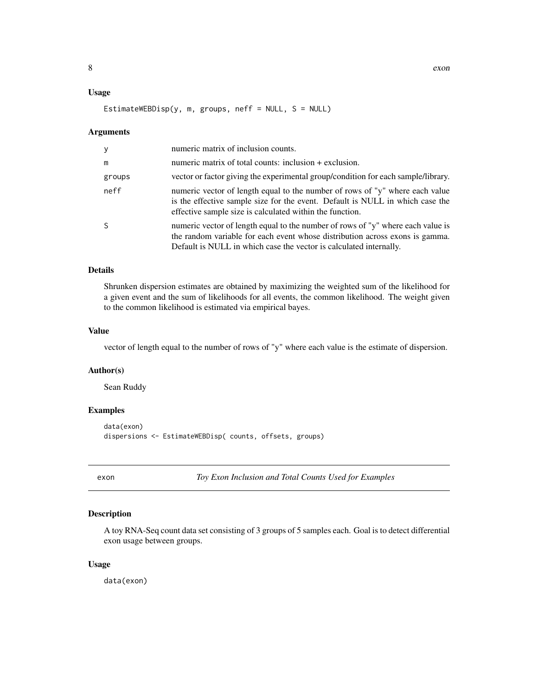#### <span id="page-7-0"></span>Usage

EstimateWEBDisp(y, m, groups, neff = NULL,  $S = NULL$ )

#### Arguments

| V      | numeric matrix of inclusion counts.                                                                                                                                                                                                   |
|--------|---------------------------------------------------------------------------------------------------------------------------------------------------------------------------------------------------------------------------------------|
| m      | numeric matrix of total counts: inclusion + exclusion.                                                                                                                                                                                |
| groups | vector or factor giving the experimental group/condition for each sample/library.                                                                                                                                                     |
| neff   | numeric vector of length equal to the number of rows of "y" where each value<br>is the effective sample size for the event. Default is NULL in which case the<br>effective sample size is calculated within the function.             |
| S      | numeric vector of length equal to the number of rows of "y" where each value is<br>the random variable for each event whose distribution across exons is gamma.<br>Default is NULL in which case the vector is calculated internally. |

## Details

Shrunken dispersion estimates are obtained by maximizing the weighted sum of the likelihood for a given event and the sum of likelihoods for all events, the common likelihood. The weight given to the common likelihood is estimated via empirical bayes.

#### Value

vector of length equal to the number of rows of "y" where each value is the estimate of dispersion.

#### Author(s)

Sean Ruddy

## Examples

```
data(exon)
dispersions <- EstimateWEBDisp( counts, offsets, groups)
```
exon *Toy Exon Inclusion and Total Counts Used for Examples*

#### Description

A toy RNA-Seq count data set consisting of 3 groups of 5 samples each. Goal is to detect differential exon usage between groups.

#### Usage

data(exon)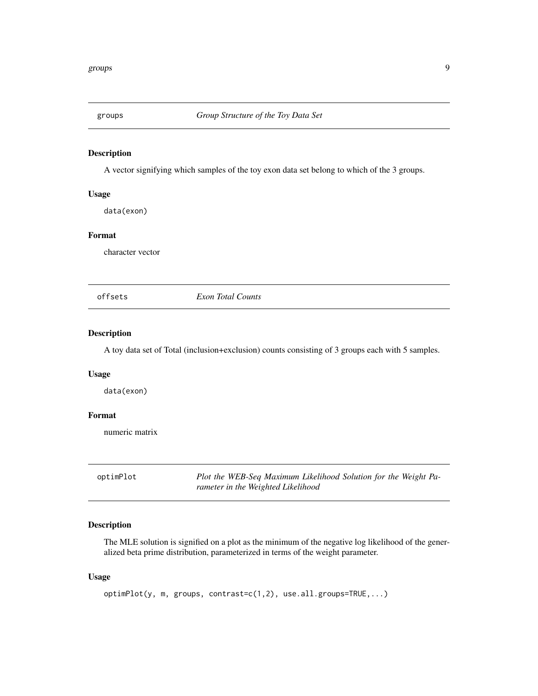<span id="page-8-0"></span>

#### Description

A vector signifying which samples of the toy exon data set belong to which of the 3 groups.

#### Usage

data(exon)

## Format

character vector

offsets *Exon Total Counts*

## Description

A toy data set of Total (inclusion+exclusion) counts consisting of 3 groups each with 5 samples.

#### Usage

data(exon)

#### Format

numeric matrix

optimPlot *Plot the WEB-Seq Maximum Likelihood Solution for the Weight Parameter in the Weighted Likelihood*

## Description

The MLE solution is signified on a plot as the minimum of the negative log likelihood of the generalized beta prime distribution, parameterized in terms of the weight parameter.

## Usage

optimPlot(y, m, groups, contrast=c(1,2), use.all.groups=TRUE,...)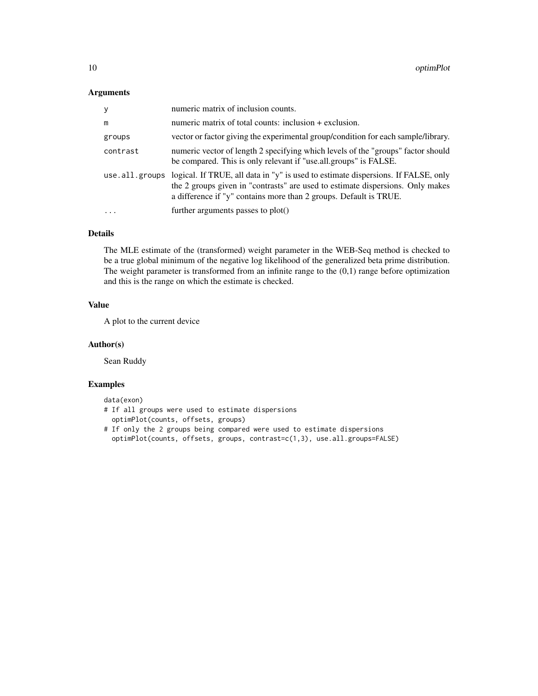## Arguments

| У              | numeric matrix of inclusion counts.                                                                                                                                                                                                      |
|----------------|------------------------------------------------------------------------------------------------------------------------------------------------------------------------------------------------------------------------------------------|
| m              | numeric matrix of total counts: inclusion + exclusion.                                                                                                                                                                                   |
| groups         | vector or factor giving the experimental group/condition for each sample/library.                                                                                                                                                        |
| contrast       | numeric vector of length 2 specifying which levels of the "groups" factor should<br>be compared. This is only relevant if "use.all.groups" is FALSE.                                                                                     |
| use.all.groups | logical. If TRUE, all data in "y" is used to estimate dispersions. If FALSE, only<br>the 2 groups given in "contrasts" are used to estimate dispersions. Only makes<br>a difference if "y" contains more than 2 groups. Default is TRUE. |
| $\ddotsc$      | further arguments passes to $plot()$                                                                                                                                                                                                     |

## Details

The MLE estimate of the (transformed) weight parameter in the WEB-Seq method is checked to be a true global minimum of the negative log likelihood of the generalized beta prime distribution. The weight parameter is transformed from an infinite range to the  $(0,1)$  range before optimization and this is the range on which the estimate is checked.

## Value

A plot to the current device

## Author(s)

Sean Ruddy

#### Examples

data(exon)

- # If all groups were used to estimate dispersions optimPlot(counts, offsets, groups)
- # If only the 2 groups being compared were used to estimate dispersions optimPlot(counts, offsets, groups, contrast=c(1,3), use.all.groups=FALSE)